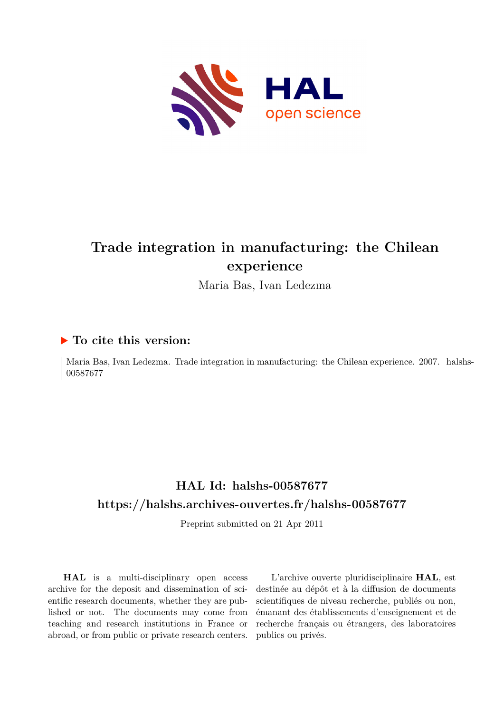

# **Trade integration in manufacturing: the Chilean experience**

Maria Bas, Ivan Ledezma

## **To cite this version:**

Maria Bas, Ivan Ledezma. Trade integration in manufacturing: the Chilean experience. 2007. halshs-00587677ff

## **HAL Id: halshs-00587677 <https://halshs.archives-ouvertes.fr/halshs-00587677>**

Preprint submitted on 21 Apr 2011

**HAL** is a multi-disciplinary open access archive for the deposit and dissemination of scientific research documents, whether they are published or not. The documents may come from teaching and research institutions in France or abroad, or from public or private research centers.

L'archive ouverte pluridisciplinaire **HAL**, est destinée au dépôt et à la diffusion de documents scientifiques de niveau recherche, publiés ou non, émanant des établissements d'enseignement et de recherche français ou étrangers, des laboratoires publics ou privés.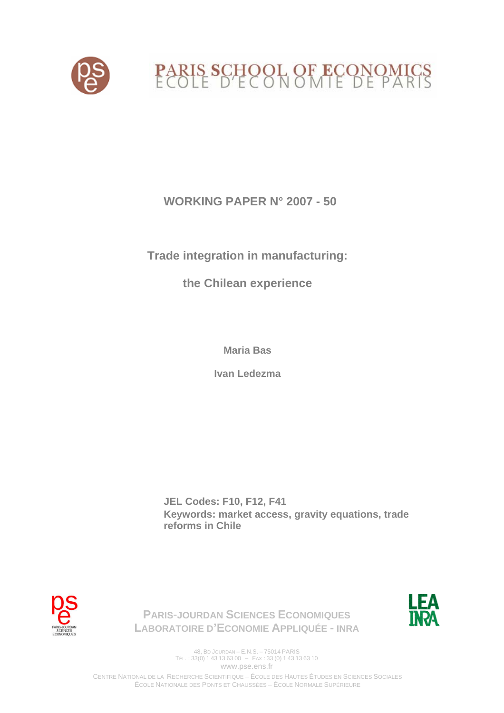

## **WORKING PAPER N° 2007 - 50**

## **Trade integration in manufacturing:**

**the Chilean experience** 

**Maria Bas** 

**Ivan Ledezma** 

**JEL Codes: F10, F12, F41 Keywords: market access, gravity equations, trade reforms in Chile** 





**PARIS**-**JOURDAN SCIENCES ECONOMIQUES LABORATOIRE D'ECONOMIE APPLIQUÉE - INRA**

> 48, BD JOURDAN – E.N.S. – 75014 PARIS TÉL. : 33(0) 1 43 13 63 00 – FAX : 33 (0) 1 43 13 63 10 www.pse.ens.fr

CENTRE NATIONAL DE LA RECHERCHE SCIENTIFIQUE – ÉCOLE DES HAUTES ÉTUDES EN SCIENCES SOCIALES ÉCOLE NATIONALE DES PONTS ET CHAUSSÉES – ÉCOLE NORMALE SUPÉRIEURE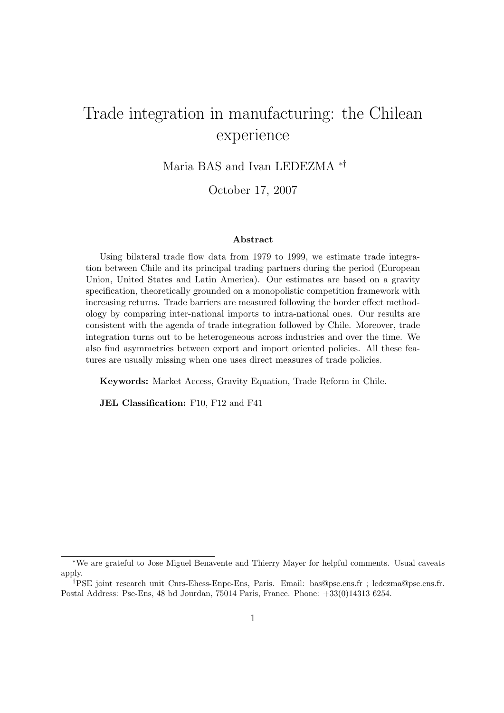# Trade integration in manufacturing: the Chilean experience

Maria BAS and Ivan LEDEZMA<sup>\*†</sup>

October 17, 2007

#### Abstract

Using bilateral trade flow data from 1979 to 1999, we estimate trade integration between Chile and its principal trading partners during the period (European Union, United States and Latin America). Our estimates are based on a gravity specification, theoretically grounded on a monopolistic competition framework with increasing returns. Trade barriers are measured following the border effect methodology by comparing inter-national imports to intra-national ones. Our results are consistent with the agenda of trade integration followed by Chile. Moreover, trade integration turns out to be heterogeneous across industries and over the time. We also find asymmetries between export and import oriented policies. All these features are usually missing when one uses direct measures of trade policies.

Keywords: Market Access, Gravity Equation, Trade Reform in Chile.

JEL Classification: F10, F12 and F41

<sup>∗</sup>We are grateful to Jose Miguel Benavente and Thierry Mayer for helpful comments. Usual caveats apply.

<sup>†</sup>PSE joint research unit Cnrs-Ehess-Enpc-Ens, Paris. Email: bas@pse.ens.fr ; ledezma@pse.ens.fr. Postal Address: Pse-Ens, 48 bd Jourdan, 75014 Paris, France. Phone: +33(0)14313 6254.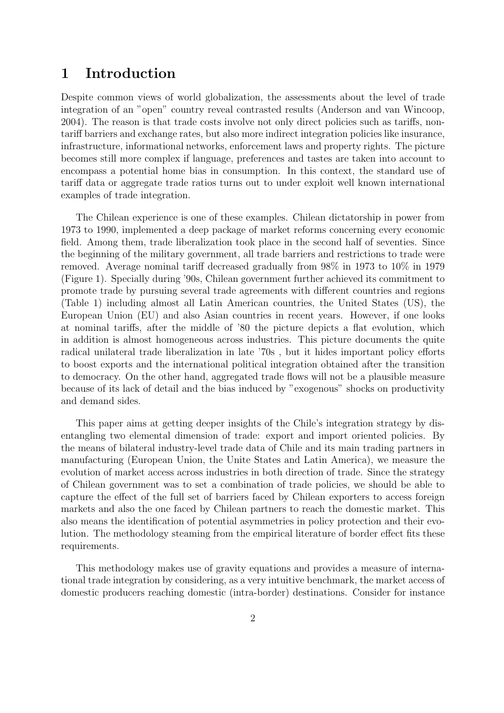## 1 Introduction

Despite common views of world globalization, the assessments about the level of trade integration of an "open" country reveal contrasted results (Anderson and van Wincoop, 2004). The reason is that trade costs involve not only direct policies such as tariffs, nontariff barriers and exchange rates, but also more indirect integration policies like insurance, infrastructure, informational networks, enforcement laws and property rights. The picture becomes still more complex if language, preferences and tastes are taken into account to encompass a potential home bias in consumption. In this context, the standard use of tariff data or aggregate trade ratios turns out to under exploit well known international examples of trade integration.

The Chilean experience is one of these examples. Chilean dictatorship in power from 1973 to 1990, implemented a deep package of market reforms concerning every economic field. Among them, trade liberalization took place in the second half of seventies. Since the beginning of the military government, all trade barriers and restrictions to trade were removed. Average nominal tariff decreased gradually from 98% in 1973 to 10% in 1979 (Figure 1). Specially during '90s, Chilean government further achieved its commitment to promote trade by pursuing several trade agreements with different countries and regions (Table 1) including almost all Latin American countries, the United States (US), the European Union (EU) and also Asian countries in recent years. However, if one looks at nominal tariffs, after the middle of '80 the picture depicts a flat evolution, which in addition is almost homogeneous across industries. This picture documents the quite radical unilateral trade liberalization in late '70s , but it hides important policy efforts to boost exports and the international political integration obtained after the transition to democracy. On the other hand, aggregated trade flows will not be a plausible measure because of its lack of detail and the bias induced by "exogenous" shocks on productivity and demand sides.

This paper aims at getting deeper insights of the Chile's integration strategy by disentangling two elemental dimension of trade: export and import oriented policies. By the means of bilateral industry-level trade data of Chile and its main trading partners in manufacturing (European Union, the Unite States and Latin America), we measure the evolution of market access across industries in both direction of trade. Since the strategy of Chilean government was to set a combination of trade policies, we should be able to capture the effect of the full set of barriers faced by Chilean exporters to access foreign markets and also the one faced by Chilean partners to reach the domestic market. This also means the identification of potential asymmetries in policy protection and their evolution. The methodology steaming from the empirical literature of border effect fits these requirements.

This methodology makes use of gravity equations and provides a measure of international trade integration by considering, as a very intuitive benchmark, the market access of domestic producers reaching domestic (intra-border) destinations. Consider for instance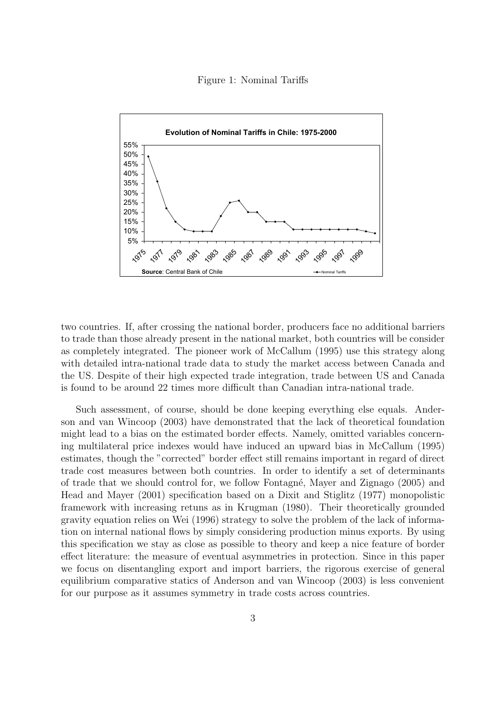Figure 1: Nominal Tariffs



two countries. If, after crossing the national border, producers face no additional barriers to trade than those already present in the national market, both countries will be consider as completely integrated. The pioneer work of McCallum (1995) use this strategy along with detailed intra-national trade data to study the market access between Canada and the US. Despite of their high expected trade integration, trade between US and Canada is found to be around 22 times more difficult than Canadian intra-national trade.

Such assessment, of course, should be done keeping everything else equals. Anderson and van Wincoop (2003) have demonstrated that the lack of theoretical foundation might lead to a bias on the estimated border effects. Namely, omitted variables concerning multilateral price indexes would have induced an upward bias in McCallum (1995) estimates, though the "corrected" border effect still remains important in regard of direct trade cost measures between both countries. In order to identify a set of determinants of trade that we should control for, we follow Fontagn´e, Mayer and Zignago (2005) and Head and Mayer (2001) specification based on a Dixit and Stiglitz (1977) monopolistic framework with increasing retuns as in Krugman (1980). Their theoretically grounded gravity equation relies on Wei (1996) strategy to solve the problem of the lack of information on internal national flows by simply considering production minus exports. By using this specification we stay as close as possible to theory and keep a nice feature of border effect literature: the measure of eventual asymmetries in protection. Since in this paper we focus on disentangling export and import barriers, the rigorous exercise of general equilibrium comparative statics of Anderson and van Wincoop (2003) is less convenient for our purpose as it assumes symmetry in trade costs across countries.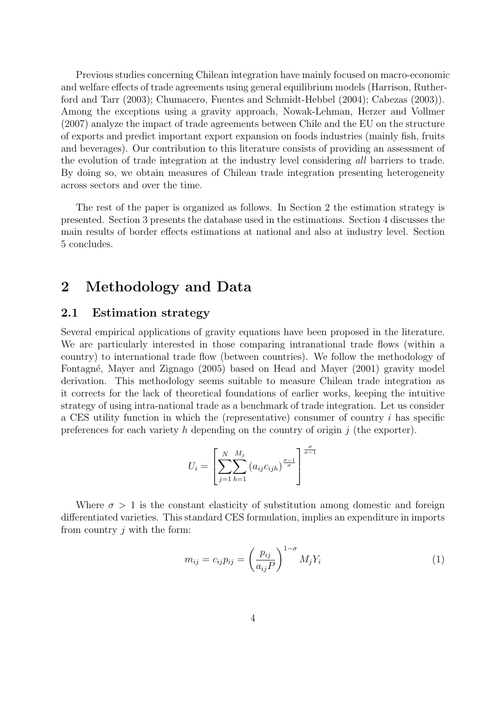Previous studies concerning Chilean integration have mainly focused on macro-economic and welfare effects of trade agreements using general equilibrium models (Harrison, Rutherford and Tarr (2003); Chumacero, Fuentes and Schmidt-Hebbel (2004); Cabezas (2003)). Among the exceptions using a gravity approach, Nowak-Lehman, Herzer and Vollmer (2007) analyze the impact of trade agreements between Chile and the EU on the structure of exports and predict important export expansion on foods industries (mainly fish, fruits and beverages). Our contribution to this literature consists of providing an assessment of the evolution of trade integration at the industry level considering all barriers to trade. By doing so, we obtain measures of Chilean trade integration presenting heterogeneity across sectors and over the time.

The rest of the paper is organized as follows. In Section 2 the estimation strategy is presented. Section 3 presents the database used in the estimations. Section 4 discusses the main results of border effects estimations at national and also at industry level. Section 5 concludes.

## 2 Methodology and Data

### 2.1 Estimation strategy

Several empirical applications of gravity equations have been proposed in the literature. We are particularly interested in those comparing intranational trade flows (within a country) to international trade flow (between countries). We follow the methodology of Fontagn´e, Mayer and Zignago (2005) based on Head and Mayer (2001) gravity model derivation. This methodology seems suitable to measure Chilean trade integration as it corrects for the lack of theoretical foundations of earlier works, keeping the intuitive strategy of using intra-national trade as a benchmark of trade integration. Let us consider a CES utility function in which the (representative) consumer of country  $i$  has specific preferences for each variety h depending on the country of origin  $j$  (the exporter).

$$
U_i = \left[ \sum_{j=1}^{N} \sum_{h=1}^{M_j} \left( a_{ij} c_{ijh} \right)^{\frac{\sigma-1}{\sigma}} \right]^{\frac{\sigma}{\sigma-1}}
$$

Where  $\sigma > 1$  is the constant elasticity of substitution among domestic and foreign differentiated varieties. This standard CES formulation, implies an expenditure in imports from country j with the form:

$$
m_{ij} = c_{ij} p_{ij} = \left(\frac{p_{ij}}{a_{ij}P}\right)^{1-\sigma} M_j Y_i \tag{1}
$$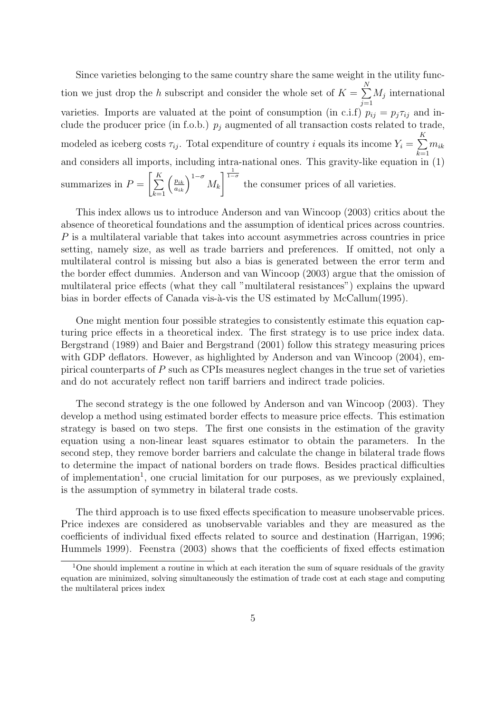Since varieties belonging to the same country share the same weight in the utility function we just drop the h subscript and consider the whole set of  $K = \sum_{n=1}^{N}$  $j=1$  $M_j$  international varieties. Imports are valuated at the point of consumption (in c.i.f)  $p_{ij} = p_j \tau_{ij}$  and include the producer price (in f.o.b.)  $p_j$  augmented of all transaction costs related to trade, modeled as iceberg costs  $\tau_{ij}$ . Total expenditure of country i equals its income  $Y_i = \sum^{K}$  $k=1$  $m_{ik}$ and considers all imports, including intra-national ones. This gravity-like equation in  $(1)$ summarizes in  $P = \left[\sum_{n=1}^{K} A_n\right]$  $k=1$  $\left(\frac{p_{ik}}{a_{ik}}\right)^{1-\sigma}M_k$  $\int_{0}^{\frac{1}{1-\sigma}}$  the consumer prices of all varieties.

This index allows us to introduce Anderson and van Wincoop (2003) critics about the absence of theoretical foundations and the assumption of identical prices across countries. P is a multilateral variable that takes into account asymmetries across countries in price setting, namely size, as well as trade barriers and preferences. If omitted, not only a multilateral control is missing but also a bias is generated between the error term and the border effect dummies. Anderson and van Wincoop (2003) argue that the omission of multilateral price effects (what they call "multilateral resistances") explains the upward bias in border effects of Canada vis-à-vis the US estimated by McCallum(1995).

One might mention four possible strategies to consistently estimate this equation capturing price effects in a theoretical index. The first strategy is to use price index data. Bergstrand (1989) and Baier and Bergstrand (2001) follow this strategy measuring prices with GDP deflators. However, as highlighted by Anderson and van Wincoop (2004), empirical counterparts of P such as CPIs measures neglect changes in the true set of varieties and do not accurately reflect non tariff barriers and indirect trade policies.

The second strategy is the one followed by Anderson and van Wincoop (2003). They develop a method using estimated border effects to measure price effects. This estimation strategy is based on two steps. The first one consists in the estimation of the gravity equation using a non-linear least squares estimator to obtain the parameters. In the second step, they remove border barriers and calculate the change in bilateral trade flows to determine the impact of national borders on trade flows. Besides practical difficulties of implementation<sup>1</sup>, one crucial limitation for our purposes, as we previously explained, is the assumption of symmetry in bilateral trade costs.

The third approach is to use fixed effects specification to measure unobservable prices. Price indexes are considered as unobservable variables and they are measured as the coefficients of individual fixed effects related to source and destination (Harrigan, 1996; Hummels 1999). Feenstra (2003) shows that the coefficients of fixed effects estimation

<sup>&</sup>lt;sup>1</sup>One should implement a routine in which at each iteration the sum of square residuals of the gravity equation are minimized, solving simultaneously the estimation of trade cost at each stage and computing the multilateral prices index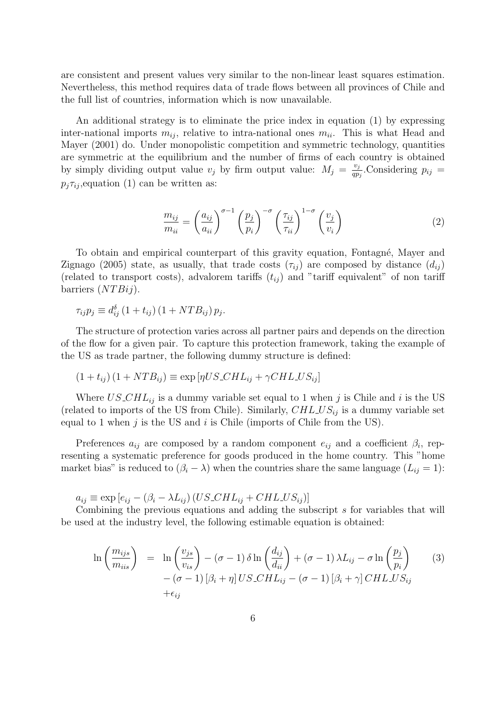are consistent and present values very similar to the non-linear least squares estimation. Nevertheless, this method requires data of trade flows between all provinces of Chile and the full list of countries, information which is now unavailable.

An additional strategy is to eliminate the price index in equation (1) by expressing inter-national imports  $m_{ij}$ , relative to intra-national ones  $m_{ii}$ . This is what Head and Mayer (2001) do. Under monopolistic competition and symmetric technology, quantities are symmetric at the equilibrium and the number of firms of each country is obtained by simply dividing output value  $v_j$  by firm output value:  $M_j = \frac{v_j}{q}$  $\frac{v_j}{qp_j}$ . Considering  $p_{ij} =$  $p_j \tau_{ij}$ , equation (1) can be written as:

$$
\frac{m_{ij}}{m_{ii}} = \left(\frac{a_{ij}}{a_{ii}}\right)^{\sigma-1} \left(\frac{p_j}{p_i}\right)^{-\sigma} \left(\frac{\tau_{ij}}{\tau_{ii}}\right)^{1-\sigma} \left(\frac{v_j}{v_i}\right)
$$
\n(2)

To obtain and empirical counterpart of this gravity equation, Fontagn´e, Mayer and Zignago (2005) state, as usually, that trade costs  $(\tau_{ii})$  are composed by distance  $(d_{ii})$ (related to transport costs), advalorem tariffs  $(t_{ij})$  and "tariff equivalent" of non tariff barriers  $(NTBij)$ .

$$
\tau_{ij}p_j \equiv d_{ij}^{\delta} \left(1 + t_{ij}\right) \left(1 + NTB_{ij}\right) p_j.
$$

The structure of protection varies across all partner pairs and depends on the direction of the flow for a given pair. To capture this protection framework, taking the example of the US as trade partner, the following dummy structure is defined:

$$
(1 + t_{ij})(1 + NTB_{ij}) \equiv \exp[\eta US\_CHL_{ij} + \gamma CHL\_US_{ij}]
$$

Where  $US\_CHL_{ij}$  is a dummy variable set equal to 1 when j is Chile and i is the US (related to imports of the US from Chile). Similarly,  $CHL\_{US}_{ii}$  is a dummy variable set equal to 1 when  $j$  is the US and  $i$  is Chile (imports of Chile from the US).

Preferences  $a_{ij}$  are composed by a random component  $e_{ij}$  and a coefficient  $\beta_i$ , representing a systematic preference for goods produced in the home country. This "home market bias" is reduced to  $(\beta_i - \lambda)$  when the countries share the same language  $(L_{ij} = 1)$ :

 $a_{ij} \equiv \exp\left[e_{ij} - (\beta_i - \lambda L_{ij}) \left( US\_CHL_{ij} + CHLLUS_{ij} \right)\right]$ 

Combining the previous equations and adding the subscript s for variables that will be used at the industry level, the following estimable equation is obtained:

$$
\ln\left(\frac{m_{ijs}}{m_{iis}}\right) = \ln\left(\frac{v_{js}}{v_{is}}\right) - (\sigma - 1)\delta \ln\left(\frac{d_{ij}}{d_{ii}}\right) + (\sigma - 1)\lambda L_{ij} - \sigma \ln\left(\frac{p_j}{p_i}\right) - (\sigma - 1)[\beta_i + \eta] \, US\_H_{ij} - (\sigma - 1)[\beta_i + \gamma] \, CHL\_U S_{ij} + \epsilon_{ij}
$$
 (3)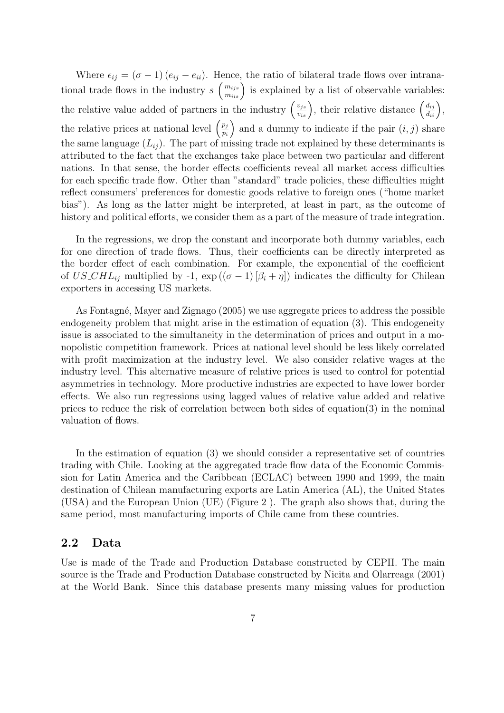Where  $\epsilon_{ij} = (\sigma - 1) (e_{ij} - e_{ii})$ . Hence, the ratio of bilateral trade flows over intranational trade flows in the industry  $s\left(\frac{m_{ijs}}{m_{iis}}\right)$  is explained by a list of observable variables: the relative value added of partners in the industry  $\left(\frac{v_{js}}{v_{is}}\right)$ , their relative distance  $\left(\frac{d_{ij}}{d_{ii}}\right)$ , the relative prices at national level  $\left(\frac{p_j}{p_j}\right)$ pi ) and a dummy to indicate if the pair  $(i, j)$  share the same language  $(L_{ij})$ . The part of missing trade not explained by these determinants is attributed to the fact that the exchanges take place between two particular and different nations. In that sense, the border effects coefficients reveal all market access difficulties for each specific trade flow. Other than "standard" trade policies, these difficulties might reflect consumers' preferences for domestic goods relative to foreign ones ("home market bias"). As long as the latter might be interpreted, at least in part, as the outcome of history and political efforts, we consider them as a part of the measure of trade integration.

In the regressions, we drop the constant and incorporate both dummy variables, each for one direction of trade flows. Thus, their coefficients can be directly interpreted as the border effect of each combination. For example, the exponential of the coefficient of US\_CHL<sub>ij</sub> multiplied by -1,  $\exp((\sigma-1)[\beta_i+\eta])$  indicates the difficulty for Chilean exporters in accessing US markets.

As Fontagné, Mayer and Zignago (2005) we use aggregate prices to address the possible endogeneity problem that might arise in the estimation of equation (3). This endogeneity issue is associated to the simultaneity in the determination of prices and output in a monopolistic competition framework. Prices at national level should be less likely correlated with profit maximization at the industry level. We also consider relative wages at the industry level. This alternative measure of relative prices is used to control for potential asymmetries in technology. More productive industries are expected to have lower border effects. We also run regressions using lagged values of relative value added and relative prices to reduce the risk of correlation between both sides of equation(3) in the nominal valuation of flows.

In the estimation of equation (3) we should consider a representative set of countries trading with Chile. Looking at the aggregated trade flow data of the Economic Commission for Latin America and the Caribbean (ECLAC) between 1990 and 1999, the main destination of Chilean manufacturing exports are Latin America (AL), the United States (USA) and the European Union (UE) (Figure 2 ). The graph also shows that, during the same period, most manufacturing imports of Chile came from these countries.

### 2.2 Data

Use is made of the Trade and Production Database constructed by CEPII. The main source is the Trade and Production Database constructed by Nicita and Olarreaga (2001) at the World Bank. Since this database presents many missing values for production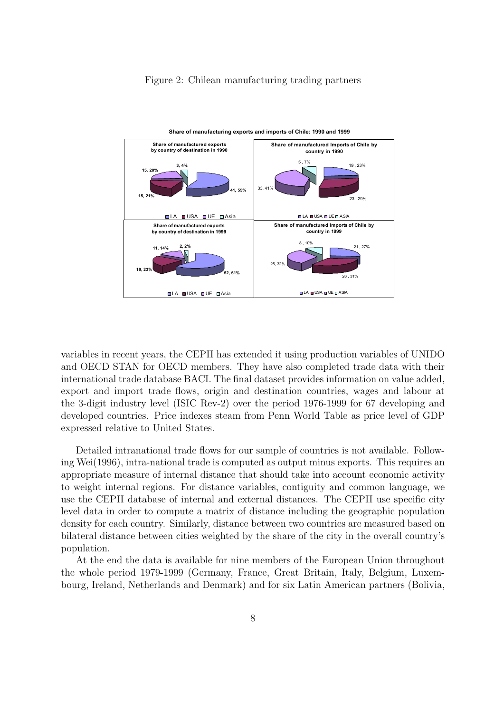#### Figure 2: Chilean manufacturing trading partners



variables in recent years, the CEPII has extended it using production variables of UNIDO and OECD STAN for OECD members. They have also completed trade data with their international trade database BACI. The final dataset provides information on value added, export and import trade flows, origin and destination countries, wages and labour at the 3-digit industry level (ISIC Rev-2) over the period 1976-1999 for 67 developing and developed countries. Price indexes steam from Penn World Table as price level of GDP expressed relative to United States.

Detailed intranational trade flows for our sample of countries is not available. Following Wei(1996), intra-national trade is computed as output minus exports. This requires an appropriate measure of internal distance that should take into account economic activity to weight internal regions. For distance variables, contiguity and common language, we use the CEPII database of internal and external distances. The CEPII use specific city level data in order to compute a matrix of distance including the geographic population density for each country. Similarly, distance between two countries are measured based on bilateral distance between cities weighted by the share of the city in the overall country's population.

At the end the data is available for nine members of the European Union throughout the whole period 1979-1999 (Germany, France, Great Britain, Italy, Belgium, Luxembourg, Ireland, Netherlands and Denmark) and for six Latin American partners (Bolivia,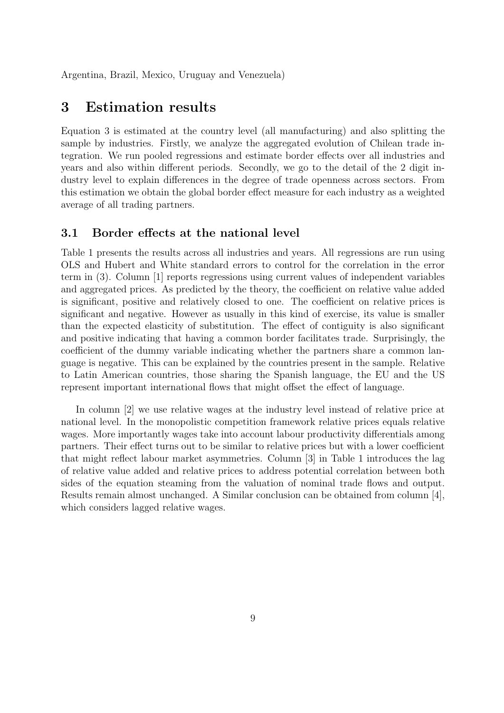Argentina, Brazil, Mexico, Uruguay and Venezuela)

## 3 Estimation results

Equation 3 is estimated at the country level (all manufacturing) and also splitting the sample by industries. Firstly, we analyze the aggregated evolution of Chilean trade integration. We run pooled regressions and estimate border effects over all industries and years and also within different periods. Secondly, we go to the detail of the 2 digit industry level to explain differences in the degree of trade openness across sectors. From this estimation we obtain the global border effect measure for each industry as a weighted average of all trading partners.

### 3.1 Border effects at the national level

Table 1 presents the results across all industries and years. All regressions are run using OLS and Hubert and White standard errors to control for the correlation in the error term in (3). Column [1] reports regressions using current values of independent variables and aggregated prices. As predicted by the theory, the coefficient on relative value added is significant, positive and relatively closed to one. The coefficient on relative prices is significant and negative. However as usually in this kind of exercise, its value is smaller than the expected elasticity of substitution. The effect of contiguity is also significant and positive indicating that having a common border facilitates trade. Surprisingly, the coefficient of the dummy variable indicating whether the partners share a common language is negative. This can be explained by the countries present in the sample. Relative to Latin American countries, those sharing the Spanish language, the EU and the US represent important international flows that might offset the effect of language.

In column [2] we use relative wages at the industry level instead of relative price at national level. In the monopolistic competition framework relative prices equals relative wages. More importantly wages take into account labour productivity differentials among partners. Their effect turns out to be similar to relative prices but with a lower coefficient that might reflect labour market asymmetries. Column [3] in Table 1 introduces the lag of relative value added and relative prices to address potential correlation between both sides of the equation steaming from the valuation of nominal trade flows and output. Results remain almost unchanged. A Similar conclusion can be obtained from column [4], which considers lagged relative wages.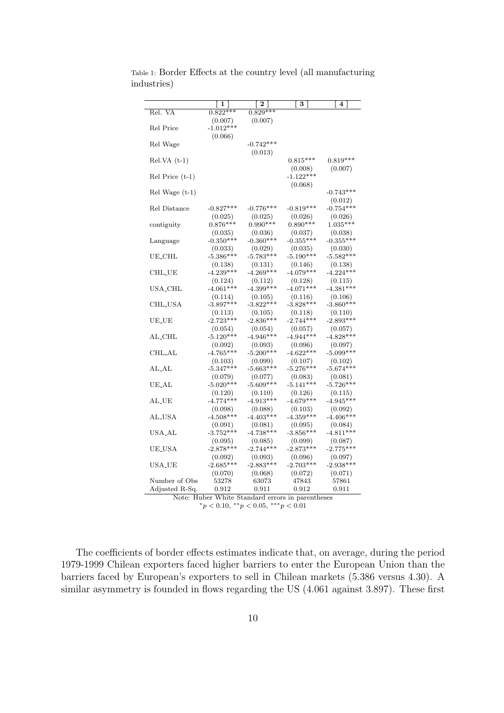|                      | 1                      | $\bf{2}$               | 3                      | 4                      |
|----------------------|------------------------|------------------------|------------------------|------------------------|
| Rel. VA              | $0.822***$             | $0.829***$             |                        |                        |
|                      | (0.007)                | (0.007)                |                        |                        |
| Rel Price            | $-1.012***$            |                        |                        |                        |
|                      | (0.066)                |                        |                        |                        |
| Rel Wage             |                        | $-0.742***$            |                        |                        |
|                      |                        | (0.013)                |                        |                        |
| $Rel.VA(t-1)$        |                        |                        | $0.815***$             | $0.819***$             |
|                      |                        |                        | (0.008)                | (0.007)                |
| $Rel Price (t-1)$    |                        |                        | $-1.122***$            |                        |
|                      |                        |                        | (0.068)                |                        |
| Rel Wage (t-1)       |                        |                        |                        | $-0.743***$            |
|                      |                        |                        |                        | (0.012)                |
| Rel Distance         | $-0.827***$            | $-0.776***$            | $-0.819***$            | $-0.754***$            |
|                      | (0.025)                | (0.025)                | (0.026)                | (0.026)                |
| contiguity           | $0.876***$             | $0.990***$             | $0.890***$             | $1.035***$             |
|                      | (0.035)                | (0.036)                | (0.037)                | (0.038)                |
| Language             | $-0.350***$            | $-0.360***$            | $-0.355***$            | $-0.355***$            |
|                      | (0.033)                | (0.029)                | (0.035)                | (0.030)                |
| <b>UE_CHL</b>        | $-5.386***$            | $-5.783***$            | $-5.190***$            | $-5.582***$            |
|                      | (0.138)                | (0.131)                | (0.146)                | (0.138)                |
| <b>CHL_UE</b>        | $-4.239***$            | $-4.269***$            | $-4.079***$            | $-4.224***$            |
|                      | (0.124)                | (0.112)                | (0.128)                | (0.115)                |
| USA <sub>-</sub> CHL | $-4.061***$            | $-4.399***$            | $-4.071***$            | $-4.381***$            |
|                      | (0.114)                | (0.105)                | (0.116)                | (0.106)                |
| <b>CHL_USA</b>       | $-3.897***$            | $-3.822***$            | $-3.828***$            | $-3.860***$            |
|                      | (0.113)                | (0.105)                | (0.118)                | (0.110)                |
| <b>UE_UE</b>         | $-2.723***$            | $-2.836***$            | $-2.744***$            | $-2.893***$            |
|                      |                        |                        |                        |                        |
| AL_CHL               | (0.054)<br>$-5.120***$ | (0.054)<br>$-4.946***$ | (0.057)<br>$-4.944***$ | (0.057)<br>$-4.828***$ |
|                      | (0.092)                | (0.093)                | (0.096)                | (0.097)                |
| CHL_AL               | $-4.765***$            | $-5.200***$            | $-4.622***$            | $-5.099***$            |
|                      |                        |                        | (0.107)                | (0.102)                |
| AL AL                | (0.103)<br>$-5.347***$ | (0.099)<br>$-5.663***$ | $-5.276***$            | $-5.674***$            |
|                      |                        |                        |                        |                        |
|                      | (0.079)<br>$-5.020***$ | (0.077)                | (0.083)<br>$-5.141***$ | (0.081)                |
| UE_AL                |                        | $-5.609***$            |                        | $-5.726***$            |
|                      | (0.120)<br>$-4.774***$ | (0.110)<br>$-4.913***$ | (0.126)<br>$-4.679***$ | (0.115)                |
| AL_UE                |                        |                        |                        | $-4.945***$            |
|                      | (0.098)                | (0.088)                | (0.103)                | (0.092)                |
| AL_USA               | $-4.508***$            | $-4.403***$            | $-4.359***$            | $-4.406***$            |
|                      | (0.091)                | (0.081)                | (0.095)                | (0.084)                |
| USA_AL               | $-3.752***$            | $-4.738***$            | $-3.856***$            | $-4.811***$            |
|                      | (0.095)                | (0.085)                | (0.099)                | (0.087)                |
| <b>UE_USA</b>        | $-2.878***$            | $-2.744***$            | $-2.873***$            | $-2.775***$            |
|                      | (0.092)                | (0.093)                | (0.096)                | (0.097)                |
| USA_UE               | $-2.685***$            | $-2.883***$            | $-2.703***$            | $-2.938***$            |
|                      | (0.070)                | (0.068)                | (0.072)                | (0.071)                |
| Number of Obs        | 53278                  | 63073                  | 47843                  | 57861                  |
| Adjusted R-Sq.       | 0.912                  | 0.911                  | 0.912                  | 0.911                  |

Table 1: Border Effects at the country level (all manufacturing industries)

Note: Huber White Standard errors in parentheses  $*_p$  < 0.10,  $*_p$  < 0.05,  $**_p$  < 0.01

The coefficients of border effects estimates indicate that, on average, during the period 1979-1999 Chilean exporters faced higher barriers to enter the European Union than the barriers faced by European's exporters to sell in Chilean markets (5.386 versus 4.30). A similar asymmetry is founded in flows regarding the US (4.061 against 3.897). These first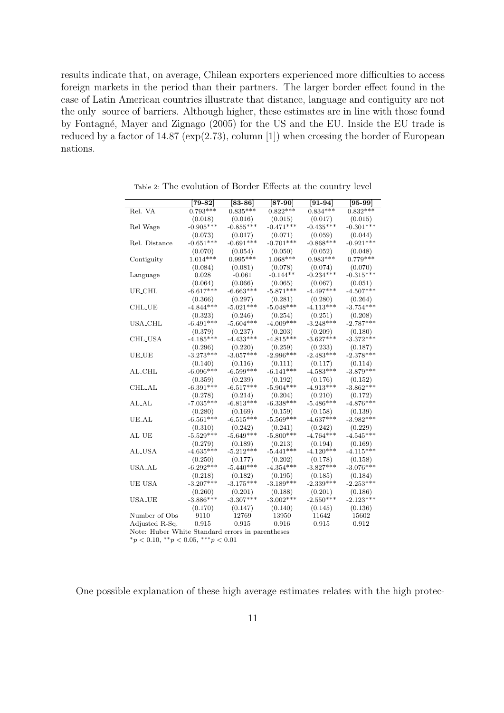results indicate that, on average, Chilean exporters experienced more difficulties to access foreign markets in the period than their partners. The larger border effect found in the case of Latin American countries illustrate that distance, language and contiguity are not the only source of barriers. Although higher, these estimates are in line with those found by Fontagn´e, Mayer and Zignago (2005) for the US and the EU. Inside the EU trade is reduced by a factor of 14.87 (exp(2.73), column [1]) when crossing the border of European nations.

|                                                  | $\left[79\text{-}82\right]$ | $\left[83\text{-}86\right]$ | $\left[87\text{-}90\right]$ | $\left[ 91\text{-}94 \right]$ | $[95-99]$   |  |  |  |
|--------------------------------------------------|-----------------------------|-----------------------------|-----------------------------|-------------------------------|-------------|--|--|--|
| Rel. VA                                          | $0.793***$                  | $0.835***$                  | $0.822***$                  | $0.834***$                    | $0.832***$  |  |  |  |
|                                                  | (0.018)                     | (0.016)                     | (0.015)                     | (0.017)                       | (0.015)     |  |  |  |
| Rel Wage                                         | $-0.905***$                 | $-0.855***$                 | $-0.471***$                 | $-0.435***$                   | $-0.301***$ |  |  |  |
|                                                  | (0.073)                     | (0.017)                     | (0.071)                     | (0.059)                       | (0.044)     |  |  |  |
| Rel. Distance                                    | $-0.651***$                 | $-0.691***$                 | $-0.701***$                 | $-0.868***$                   | $-0.921***$ |  |  |  |
|                                                  | (0.070)                     | (0.054)                     | (0.050)                     | (0.052)                       | (0.048)     |  |  |  |
| Contiguity                                       | $1.014***$                  | $0.995***$                  | $1.068***$                  | $0.983***$                    | $0.779***$  |  |  |  |
|                                                  | (0.084)                     | (0.081)                     | (0.078)                     | (0.074)                       | (0.070)     |  |  |  |
| Language                                         | 0.028                       | $-0.061$                    | $-0.144**$                  | $-0.234***$                   | $-0.315***$ |  |  |  |
|                                                  | (0.064)                     | (0.066)                     | (0.065)                     | (0.067)                       | (0.051)     |  |  |  |
| <b>UE_CHL</b>                                    | $-6.617***$                 | $-6.663***$                 | $-5.871***$                 | $-4.497***$                   | $-4.507***$ |  |  |  |
|                                                  | (0.366)                     | (0.297)                     | (0.281)                     | (0.280)                       | (0.264)     |  |  |  |
| <b>CHL_UE</b>                                    | $-4.844***$                 | $-5.021***$                 | $-5.048***$                 | $-4.113***$                   | $-3.754***$ |  |  |  |
|                                                  | (0.323)                     | (0.246)                     | (0.254)                     | (0.251)                       | (0.208)     |  |  |  |
| <b>USA_CHL</b>                                   | $-6.491***$                 | $-5.604***$                 | $-4.009***$                 | $-3.248***$                   | $-2.787***$ |  |  |  |
|                                                  | (0.379)                     | (0.237)                     | (0.203)                     | (0.209)                       | (0.180)     |  |  |  |
| CHL_USA                                          | $-4.185***$                 | $-4.433***$                 | $-4.815***$                 | $-3.627***$                   | $-3.372***$ |  |  |  |
|                                                  | (0.296)                     | (0.220)                     | (0.259)                     | (0.233)                       | (0.187)     |  |  |  |
| <b>UE_UE</b>                                     | $-3.273***$                 | $-3.057***$                 | $-2.996***$                 | $-2.483***$                   | $-2.378***$ |  |  |  |
|                                                  | (0.140)                     | (0.116)                     | (0.111)                     | (0.117)                       | (0.114)     |  |  |  |
| AL_CHL                                           | $-6.096***$                 | $-6.599***$                 | $-6.141***$                 | $-4.583***$                   | $-3.879***$ |  |  |  |
|                                                  | (0.359)                     | (0.239)                     | (0.192)                     | (0.176)                       | (0.152)     |  |  |  |
| <b>CHL_AL</b>                                    | $-6.391***$                 | $-6.517***$                 | $-5.904***$                 | $-4.913***$                   | $-3.862***$ |  |  |  |
|                                                  | (0.278)                     | (0.214)                     | (0.204)                     | (0.210)                       | (0.172)     |  |  |  |
| AL_AL                                            | $-7.035***$                 | $-6.813***$                 | $-6.338***$                 | $-5.486***$                   | $-4.876***$ |  |  |  |
|                                                  | (0.280)                     | (0.169)                     | (0.159)                     | (0.158)                       | (0.139)     |  |  |  |
| <b>UE_AL</b>                                     | $-6.561***$                 | $-6.515***$                 | $-5.569***$                 | $-4.637***$                   | $-3.982***$ |  |  |  |
|                                                  | (0.310)                     | (0.242)                     | (0.241)                     | (0.242)                       | (0.229)     |  |  |  |
| AL_UE                                            | $-5.529***$                 | $-5.649***$                 | $-5.800***$                 | $-4.764***$                   | $-4.545***$ |  |  |  |
|                                                  | (0.279)                     | (0.189)                     | (0.213)                     | (0.194)                       | (0.169)     |  |  |  |
| AL_USA                                           | $-4.635***$                 | $-5.212***$                 | $-5.441***$                 | $-4.120***$                   | $-4.115***$ |  |  |  |
|                                                  | (0.250)                     | (0.177)                     | (0.202)                     | (0.178)                       | (0.158)     |  |  |  |
| <b>USA_AL</b>                                    | $-6.292***$                 | $-5.440***$                 | $-4.354***$                 | $-3.827***$                   | $-3.076***$ |  |  |  |
|                                                  | (0.218)                     | (0.182)                     | (0.195)                     | (0.185)                       | (0.184)     |  |  |  |
| <b>UE_USA</b>                                    | $-3.207***$                 | $-3.175***$                 | $-3.189***$                 | $-2.339***$                   | $-2.253***$ |  |  |  |
|                                                  | (0.260)                     | (0.201)                     | (0.188)                     | (0.201)                       | (0.186)     |  |  |  |
| <b>USA_UE</b>                                    | $-3.886***$                 | $-3.307***$                 | $-3.002***$                 | $-2.550***$                   | $-2.123***$ |  |  |  |
|                                                  | (0.170)                     | (0.147)                     | (0.140)                     | (0.145)                       | (0.136)     |  |  |  |
| Number of Obs                                    | 9110                        | 12769                       | 13950                       | 11642                         | 15602       |  |  |  |
| Adjusted R-Sq.                                   | 0.915                       | 0.915                       | 0.916                       | 0.915                         | 0.912       |  |  |  |
| Note: Huber White Standard errors in parentheses |                             |                             |                             |                               |             |  |  |  |
| $*_p$ < 0.10, $*_p$ < 0.05, $**_p$ < 0.01        |                             |                             |                             |                               |             |  |  |  |

Table 2: The evolution of Border Effects at the country level

One possible explanation of these high average estimates relates with the high protec-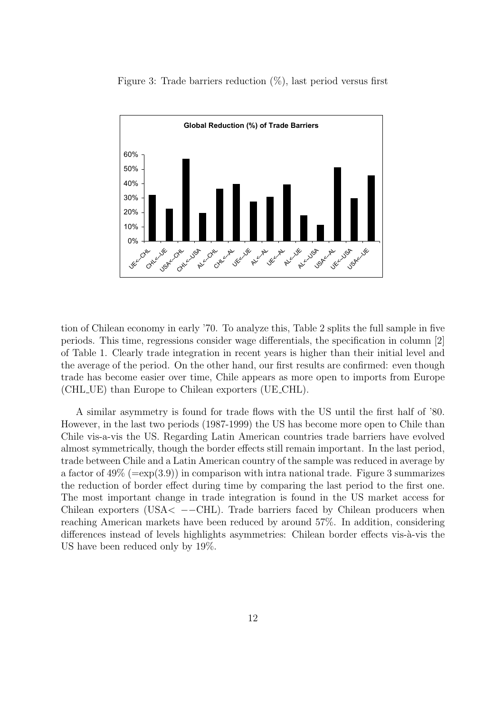

Figure 3: Trade barriers reduction  $(\%)$ , last period versus first

tion of Chilean economy in early '70. To analyze this, Table 2 splits the full sample in five periods. This time, regressions consider wage differentials, the specification in column [2] of Table 1. Clearly trade integration in recent years is higher than their initial level and the average of the period. On the other hand, our first results are confirmed: even though trade has become easier over time, Chile appears as more open to imports from Europe (CHL UE) than Europe to Chilean exporters (UE CHL).

A similar asymmetry is found for trade flows with the US until the first half of '80. However, in the last two periods (1987-1999) the US has become more open to Chile than Chile vis-a-vis the US. Regarding Latin American countries trade barriers have evolved almost symmetrically, though the border effects still remain important. In the last period, trade between Chile and a Latin American country of the sample was reduced in average by a factor of  $49\%$  ( $=\exp(3.9)$ ) in comparison with intra national trade. Figure 3 summarizes the reduction of border effect during time by comparing the last period to the first one. The most important change in trade integration is found in the US market access for Chilean exporters (USA $\lt$  --CHL). Trade barriers faced by Chilean producers when reaching American markets have been reduced by around 57%. In addition, considering differences instead of levels highlights asymmetries: Chilean border effects vis- $\grave{a}$ -vis the US have been reduced only by 19%.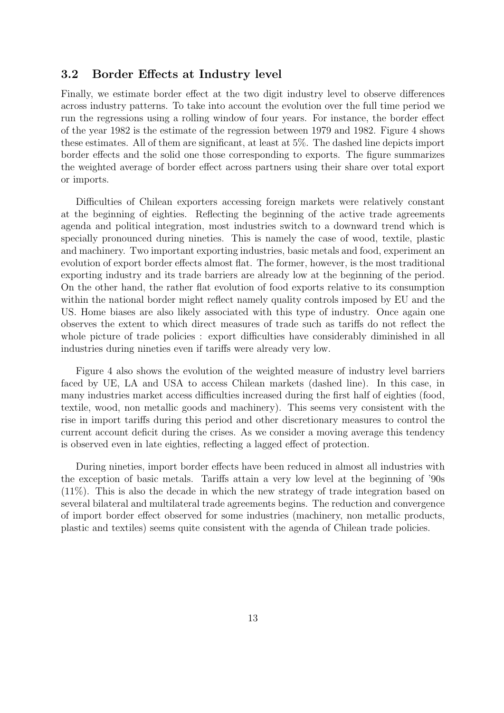#### 3.2 Border Effects at Industry level

Finally, we estimate border effect at the two digit industry level to observe differences across industry patterns. To take into account the evolution over the full time period we run the regressions using a rolling window of four years. For instance, the border effect of the year 1982 is the estimate of the regression between 1979 and 1982. Figure 4 shows these estimates. All of them are significant, at least at 5%. The dashed line depicts import border effects and the solid one those corresponding to exports. The figure summarizes the weighted average of border effect across partners using their share over total export or imports.

Difficulties of Chilean exporters accessing foreign markets were relatively constant at the beginning of eighties. Reflecting the beginning of the active trade agreements agenda and political integration, most industries switch to a downward trend which is specially pronounced during nineties. This is namely the case of wood, textile, plastic and machinery. Two important exporting industries, basic metals and food, experiment an evolution of export border effects almost flat. The former, however, is the most traditional exporting industry and its trade barriers are already low at the beginning of the period. On the other hand, the rather flat evolution of food exports relative to its consumption within the national border might reflect namely quality controls imposed by EU and the US. Home biases are also likely associated with this type of industry. Once again one observes the extent to which direct measures of trade such as tariffs do not reflect the whole picture of trade policies : export difficulties have considerably diminished in all industries during nineties even if tariffs were already very low.

Figure 4 also shows the evolution of the weighted measure of industry level barriers faced by UE, LA and USA to access Chilean markets (dashed line). In this case, in many industries market access difficulties increased during the first half of eighties (food, textile, wood, non metallic goods and machinery). This seems very consistent with the rise in import tariffs during this period and other discretionary measures to control the current account deficit during the crises. As we consider a moving average this tendency is observed even in late eighties, reflecting a lagged effect of protection.

During nineties, import border effects have been reduced in almost all industries with the exception of basic metals. Tariffs attain a very low level at the beginning of '90s (11%). This is also the decade in which the new strategy of trade integration based on several bilateral and multilateral trade agreements begins. The reduction and convergence of import border effect observed for some industries (machinery, non metallic products, plastic and textiles) seems quite consistent with the agenda of Chilean trade policies.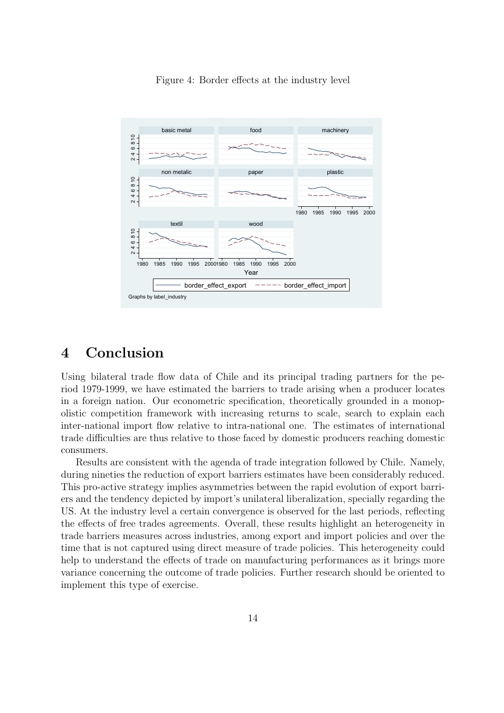

Figure 4: Border effects at the industry level

## 4 Conclusion

Using bilateral trade flow data of Chile and its principal trading partners for the period 1979-1999, we have estimated the barriers to trade arising when a producer locates in a foreign nation. Our econometric specification, theoretically grounded in a monopolistic competition framework with increasing returns to scale, search to explain each inter-national import flow relative to intra-national one. The estimates of international trade difficulties are thus relative to those faced by domestic producers reaching domestic consumers.

Results are consistent with the agenda of trade integration followed by Chile. Namely, during nineties the reduction of export barriers estimates have been considerably reduced. This pro-active strategy implies asymmetries between the rapid evolution of export barriers and the tendency depicted by import's unilateral liberalization, specially regarding the US. At the industry level a certain convergence is observed for the last periods, reflecting the effects of free trades agreements. Overall, these results highlight an heterogeneity in trade barriers measures across industries, among export and import policies and over the time that is not captured using direct measure of trade policies. This heterogeneity could help to understand the effects of trade on manufacturing performances as it brings more variance concerning the outcome of trade policies. Further research should be oriented to implement this type of exercise.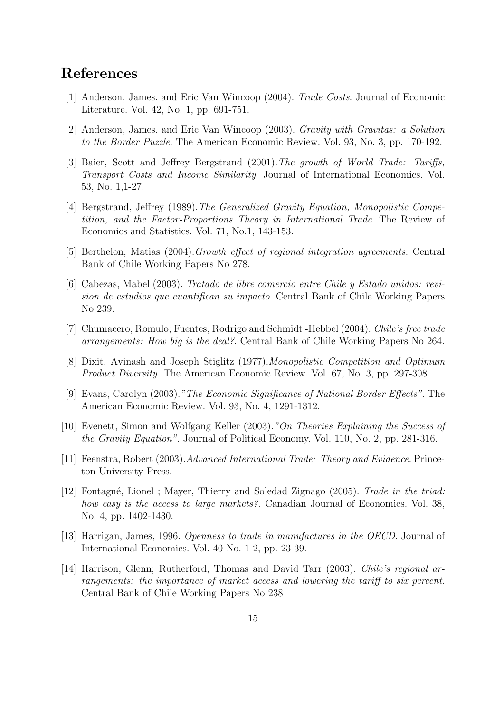## References

- [1] Anderson, James. and Eric Van Wincoop (2004). Trade Costs. Journal of Economic Literature. Vol. 42, No. 1, pp. 691-751.
- [2] Anderson, James. and Eric Van Wincoop (2003). Gravity with Gravitas: a Solution to the Border Puzzle. The American Economic Review. Vol. 93, No. 3, pp. 170-192.
- [3] Baier, Scott and Jeffrey Bergstrand (2001).The growth of World Trade: Tariffs, Transport Costs and Income Similarity. Journal of International Economics. Vol. 53, No. 1,1-27.
- [4] Bergstrand, Jeffrey (1989).The Generalized Gravity Equation, Monopolistic Competition, and the Factor-Proportions Theory in International Trade. The Review of Economics and Statistics. Vol. 71, No.1, 143-153.
- [5] Berthelon, Matias (2004).Growth effect of regional integration agreements. Central Bank of Chile Working Papers No 278.
- [6] Cabezas, Mabel (2003). Tratado de libre comercio entre Chile y Estado unidos: revision de estudios que cuantifican su impacto. Central Bank of Chile Working Papers No 239.
- [7] Chumacero, Romulo; Fuentes, Rodrigo and Schmidt -Hebbel (2004). Chile's free trade arrangements: How big is the deal?. Central Bank of Chile Working Papers No 264.
- [8] Dixit, Avinash and Joseph Stiglitz (1977).Monopolistic Competition and Optimum Product Diversity. The American Economic Review. Vol. 67, No. 3, pp. 297-308.
- [9] Evans, Carolyn (2003)."The Economic Significance of National Border Effects". The American Economic Review. Vol. 93, No. 4, 1291-1312.
- [10] Evenett, Simon and Wolfgang Keller (2003)."On Theories Explaining the Success of the Gravity Equation". Journal of Political Economy. Vol. 110, No. 2, pp. 281-316.
- [11] Feenstra, Robert (2003).Advanced International Trade: Theory and Evidence. Princeton University Press.
- [12] Fontagné, Lionel; Mayer, Thierry and Soledad Zignago (2005). Trade in the triad: how easy is the access to large markets?. Canadian Journal of Economics. Vol. 38, No. 4, pp. 1402-1430.
- [13] Harrigan, James, 1996. Openness to trade in manufactures in the OECD. Journal of International Economics. Vol. 40 No. 1-2, pp. 23-39.
- [14] Harrison, Glenn; Rutherford, Thomas and David Tarr (2003). Chile's regional arrangements: the importance of market access and lowering the tariff to six percent. Central Bank of Chile Working Papers No 238